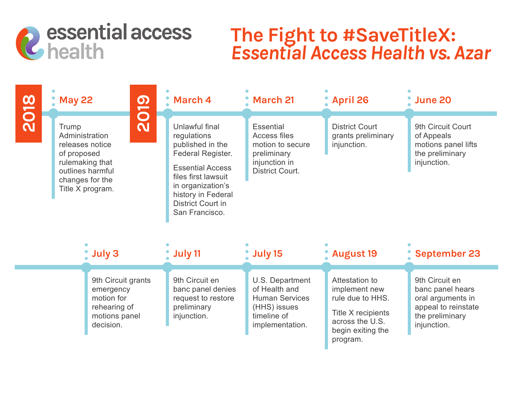

## **The Fight to #SaveTitleX:** *Essential Access Health vs. Azar*

|             |                                                                                                                                                        | <b>May 22</b> |                                                                                             | March 4                                                                                                                                                                                                           | <b>March 21</b>                                                                                                | <b>April 26</b>                                                                                                               | <b>June 20</b>                                                                                                   |
|-------------|--------------------------------------------------------------------------------------------------------------------------------------------------------|---------------|---------------------------------------------------------------------------------------------|-------------------------------------------------------------------------------------------------------------------------------------------------------------------------------------------------------------------|----------------------------------------------------------------------------------------------------------------|-------------------------------------------------------------------------------------------------------------------------------|------------------------------------------------------------------------------------------------------------------|
| <b>2018</b> | <b>2019</b><br>Trump<br>Administration<br>releases notice<br>of proposed<br>rulemaking that<br>outlines harmful<br>changes for the<br>Title X program. |               |                                                                                             | Unlawful final<br>regulations<br>published in the<br>Federal Register.<br><b>Essential Access</b><br>files first lawsuit<br>in organization's<br>history in Federal<br><b>District Court in</b><br>San Francisco. | <b>Essential</b><br><b>Access files</b><br>motion to secure<br>preliminary<br>injunction in<br>District Court. | <b>District Court</b><br>grants preliminary<br>injunction.                                                                    | 9th Circuit Court<br>of Appeals<br>motions panel lifts<br>the preliminary<br>injunction.                         |
|             | July 3                                                                                                                                                 |               |                                                                                             | July 11                                                                                                                                                                                                           | July 15                                                                                                        | <b>August 19</b>                                                                                                              | <b>September 23</b>                                                                                              |
|             |                                                                                                                                                        |               | 9th Circuit grants<br>emergency<br>motion for<br>rehearing of<br>motions panel<br>decision. | 9th Circuit en<br>banc panel denies<br>request to restore<br>preliminary<br>injunction.                                                                                                                           | U.S. Department<br>of Health and<br><b>Human Services</b><br>(HHS) issues<br>timeline of<br>implementation.    | Attestation to<br>implement new<br>rule due to HHS.<br>Title X recipients<br>across the U.S.<br>begin exiting the<br>program. | 9th Circuit en<br>banc panel hears<br>oral arguments in<br>appeal to reinstate<br>the preliminary<br>injunction. |